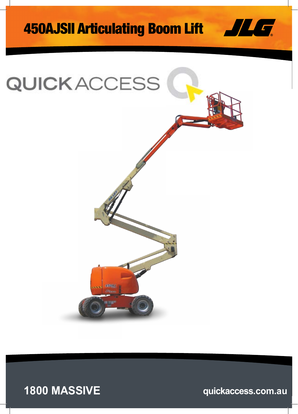# 450AJSII Articulating Boom Lift





### **1800 MASSIVE quickaccess.com.au**